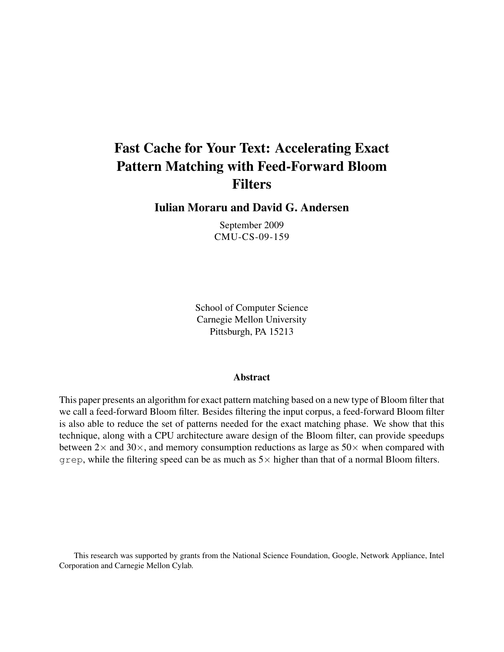# Fast Cache for Your Text: Accelerating Exact Pattern Matching with Feed-Forward Bloom Filters

Iulian Moraru and David G. Andersen

September 2009 CMU-CS-09-159

School of Computer Science Carnegie Mellon University Pittsburgh, PA 15213

#### Abstract

This paper presents an algorithm for exact pattern matching based on a new type of Bloom filter that we call a feed-forward Bloom filter. Besides filtering the input corpus, a feed-forward Bloom filter is also able to reduce the set of patterns needed for the exact matching phase. We show that this technique, along with a CPU architecture aware design of the Bloom filter, can provide speedups between  $2\times$  and  $30\times$ , and memory consumption reductions as large as  $50\times$  when compared with grep, while the filtering speed can be as much as  $5\times$  higher than that of a normal Bloom filters.

This research was supported by grants from the National Science Foundation, Google, Network Appliance, Intel Corporation and Carnegie Mellon Cylab.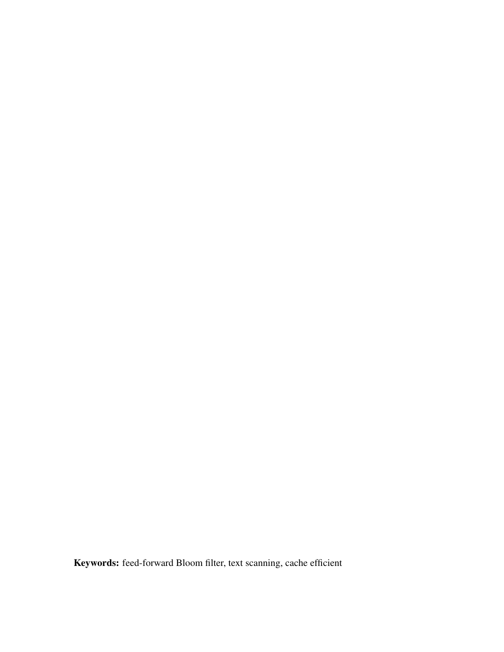Keywords: feed-forward Bloom filter, text scanning, cache efficient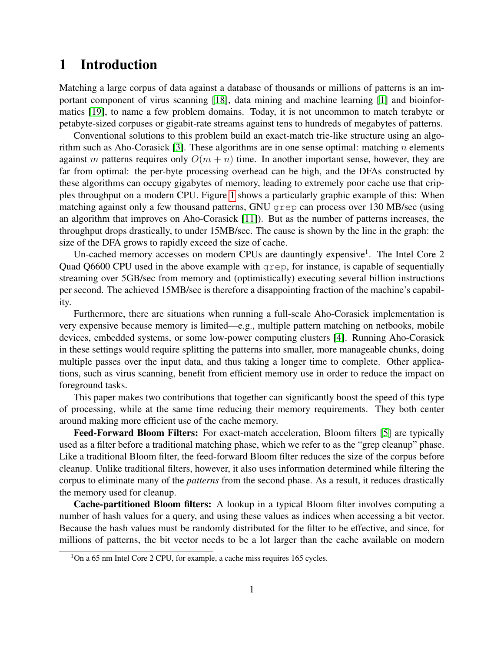## 1 Introduction

Matching a large corpus of data against a database of thousands or millions of patterns is an important component of virus scanning [\[18\]](#page-24-0), data mining and machine learning [\[1\]](#page-23-0) and bioinformatics [\[19\]](#page-24-1), to name a few problem domains. Today, it is not uncommon to match terabyte or petabyte-sized corpuses or gigabit-rate streams against tens to hundreds of megabytes of patterns.

Conventional solutions to this problem build an exact-match trie-like structure using an algorithm such as Aho-Corasick [\[3\]](#page-23-1). These algorithms are in one sense optimal: matching *n* elements against *m* patterns requires only  $O(m + n)$  time. In another important sense, however, they are far from optimal: the per-byte processing overhead can be high, and the DFAs constructed by these algorithms can occupy gigabytes of memory, leading to extremely poor cache use that cripples throughput on a modern CPU. Figure [1](#page-3-0) shows a particularly graphic example of this: When matching against only a few thousand patterns, GNU grep can process over 130 MB/sec (using an algorithm that improves on Aho-Corasick [\[11\]](#page-24-2)). But as the number of patterns increases, the throughput drops drastically, to under 15MB/sec. The cause is shown by the line in the graph: the size of the DFA grows to rapidly exceed the size of cache.

Un-cached memory accesses on modern CPUs are dauntingly expensive<sup>1</sup>. The Intel Core 2 Quad Q6600 CPU used in the above example with grep, for instance, is capable of sequentially streaming over 5GB/sec from memory and (optimistically) executing several billion instructions per second. The achieved 15MB/sec is therefore a disappointing fraction of the machine's capability.

Furthermore, there are situations when running a full-scale Aho-Corasick implementation is very expensive because memory is limited—e.g., multiple pattern matching on netbooks, mobile devices, embedded systems, or some low-power computing clusters [\[4\]](#page-23-2). Running Aho-Corasick in these settings would require splitting the patterns into smaller, more manageable chunks, doing multiple passes over the input data, and thus taking a longer time to complete. Other applications, such as virus scanning, benefit from efficient memory use in order to reduce the impact on foreground tasks.

This paper makes two contributions that together can significantly boost the speed of this type of processing, while at the same time reducing their memory requirements. They both center around making more efficient use of the cache memory.

**Feed-Forward Bloom Filters:** For exact-match acceleration, Bloom filters [\[5\]](#page-23-3) are typically used as a filter before a traditional matching phase, which we refer to as the "grep cleanup" phase. Like a traditional Bloom filter, the feed-forward Bloom filter reduces the size of the corpus before cleanup. Unlike traditional filters, however, it also uses information determined while filtering the corpus to eliminate many of the *patterns* from the second phase. As a result, it reduces drastically the memory used for cleanup.

Cache-partitioned Bloom filters: A lookup in a typical Bloom filter involves computing a number of hash values for a query, and using these values as indices when accessing a bit vector. Because the hash values must be randomly distributed for the filter to be effective, and since, for millions of patterns, the bit vector needs to be a lot larger than the cache available on modern

<sup>&</sup>lt;sup>1</sup>On a 65 nm Intel Core 2 CPU, for example, a cache miss requires 165 cycles.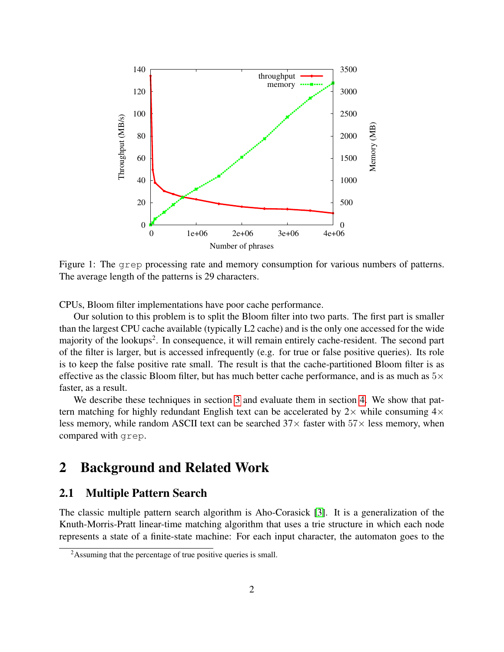

<span id="page-3-0"></span>Figure 1: The grep processing rate and memory consumption for various numbers of patterns. The average length of the patterns is 29 characters.

CPUs, Bloom filter implementations have poor cache performance.

Our solution to this problem is to split the Bloom filter into two parts. The first part is smaller than the largest CPU cache available (typically L2 cache) and is the only one accessed for the wide majority of the lookups<sup>2</sup>. In consequence, it will remain entirely cache-resident. The second part of the filter is larger, but is accessed infrequently (e.g. for true or false positive queries). Its role is to keep the false positive rate small. The result is that the cache-partitioned Bloom filter is as effective as the classic Bloom filter, but has much better cache performance, and is as much as  $5\times$ faster, as a result.

We describe these techniques in section [3](#page-6-0) and evaluate them in section [4.](#page-15-0) We show that pattern matching for highly redundant English text can be accelerated by  $2\times$  while consuming  $4\times$ less memory, while random ASCII text can be searched  $37\times$  faster with  $57\times$  less memory, when compared with grep.

## 2 Background and Related Work

## 2.1 Multiple Pattern Search

The classic multiple pattern search algorithm is Aho-Corasick [\[3\]](#page-23-1). It is a generalization of the Knuth-Morris-Pratt linear-time matching algorithm that uses a trie structure in which each node represents a state of a finite-state machine: For each input character, the automaton goes to the

<sup>&</sup>lt;sup>2</sup>Assuming that the percentage of true positive queries is small.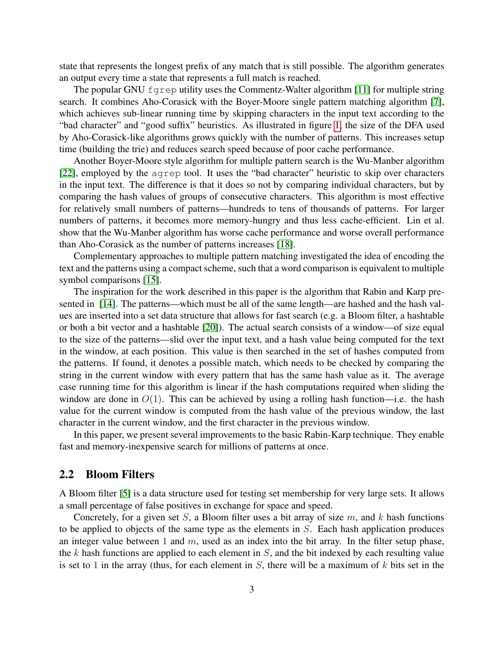state that represents the longest prefix of any match that is still possible. The algorithm generates an output every time a state that represents a full match is reached.

The popular GNU fgrep utility uses the Commentz-Walter algorithm [\[11\]](#page-24-2) for multiple string search. It combines Aho-Corasick with the Boyer-Moore single pattern matching algorithm [\[7\]](#page-24-3), which achieves sub-linear running time by skipping characters in the input text according to the "bad character" and "good suffix" heuristics. As illustrated in figure [1,](#page-3-0) the size of the DFA used by Aho-Corasick-like algorithms grows quickly with the number of patterns. This increases setup time (building the trie) and reduces search speed because of poor cache performance.

Another Boyer-Moore style algorithm for multiple pattern search is the Wu-Manber algorithm [\[22\]](#page-25-0), employed by the agrep tool. It uses the "bad character" heuristic to skip over characters in the input text. The difference is that it does so not by comparing individual characters, but by comparing the hash values of groups of consecutive characters. This algorithm is most effective for relatively small numbers of patterns—hundreds to tens of thousands of patterns. For larger numbers of patterns, it becomes more memory-hungry and thus less cache-efficient. Lin et al. show that the Wu-Manber algorithm has worse cache performance and worse overall performance than Aho-Corasick as the number of patterns increases [\[18\]](#page-24-0).

Complementary approaches to multiple pattern matching investigated the idea of encoding the text and the patterns using a compact scheme, such that a word comparison is equivalent to multiple symbol comparisons [\[15\]](#page-24-4).

The inspiration for the work described in this paper is the algorithm that Rabin and Karp presented in [\[14\]](#page-24-5). The patterns—which must be all of the same length—are hashed and the hash values are inserted into a set data structure that allows for fast search (e.g. a Bloom filter, a hashtable or both a bit vector and a hashtable [\[20\]](#page-24-6)). The actual search consists of a window—of size equal to the size of the patterns—slid over the input text, and a hash value being computed for the text in the window, at each position. This value is then searched in the set of hashes computed from the patterns. If found, it denotes a possible match, which needs to be checked by comparing the string in the current window with every pattern that has the same hash value as it. The average case running time for this algorithm is linear if the hash computations required when sliding the window are done in  $O(1)$ . This can be achieved by using a rolling hash function—i.e. the hash value for the current window is computed from the hash value of the previous window, the last character in the current window, and the first character in the previous window.

In this paper, we present several improvements to the basic Rabin-Karp technique. They enable fast and memory-inexpensive search for millions of patterns at once.

#### 2.2 Bloom Filters

A Bloom filter [\[5\]](#page-23-3) is a data structure used for testing set membership for very large sets. It allows a small percentage of false positives in exchange for space and speed.

Concretely, for a given set *S*, a Bloom filter uses a bit array of size *m*, and *k* hash functions to be applied to objects of the same type as the elements in *S*. Each hash application produces an integer value between 1 and *m*, used as an index into the bit array. In the filter setup phase, the *k* hash functions are applied to each element in *S*, and the bit indexed by each resulting value is set to 1 in the array (thus, for each element in *S*, there will be a maximum of *k* bits set in the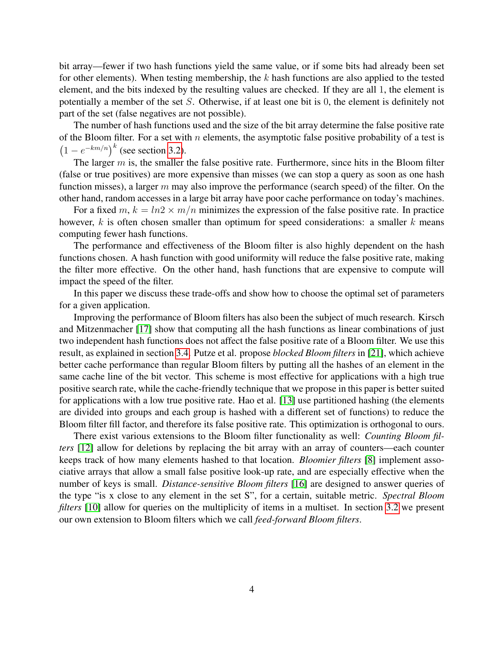bit array—fewer if two hash functions yield the same value, or if some bits had already been set for other elements). When testing membership, the *k* hash functions are also applied to the tested element, and the bits indexed by the resulting values are checked. If they are all 1, the element is potentially a member of the set *S*. Otherwise, if at least one bit is 0, the element is definitely not part of the set (false negatives are not possible).

The number of hash functions used and the size of the bit array determine the false positive rate of the Bloom filter. For a set with *n* elements, the asymptotic false positive probability of a test is  $(1 - e^{-km/n})^k$  (see section [3.2\)](#page-8-0).

The larger *m* is, the smaller the false positive rate. Furthermore, since hits in the Bloom filter (false or true positives) are more expensive than misses (we can stop a query as soon as one hash function misses), a larger *m* may also improve the performance (search speed) of the filter. On the other hand, random accesses in a large bit array have poor cache performance on today's machines.

For a fixed  $m, k = ln2 \times m/n$  minimizes the expression of the false positive rate. In practice however, *k* is often chosen smaller than optimum for speed considerations: a smaller *k* means computing fewer hash functions.

The performance and effectiveness of the Bloom filter is also highly dependent on the hash functions chosen. A hash function with good uniformity will reduce the false positive rate, making the filter more effective. On the other hand, hash functions that are expensive to compute will impact the speed of the filter.

In this paper we discuss these trade-offs and show how to choose the optimal set of parameters for a given application.

Improving the performance of Bloom filters has also been the subject of much research. Kirsch and Mitzenmacher [\[17\]](#page-24-7) show that computing all the hash functions as linear combinations of just two independent hash functions does not affect the false positive rate of a Bloom filter. We use this result, as explained in section [3.4.](#page-15-1) Putze et al. propose *blocked Bloom filters* in [\[21\]](#page-25-1), which achieve better cache performance than regular Bloom filters by putting all the hashes of an element in the same cache line of the bit vector. This scheme is most effective for applications with a high true positive search rate, while the cache-friendly technique that we propose in this paper is better suited for applications with a low true positive rate. Hao et al. [\[13\]](#page-24-8) use partitioned hashing (the elements are divided into groups and each group is hashed with a different set of functions) to reduce the Bloom filter fill factor, and therefore its false positive rate. This optimization is orthogonal to ours.

There exist various extensions to the Bloom filter functionality as well: *Counting Bloom filters* [\[12\]](#page-24-9) allow for deletions by replacing the bit array with an array of counters—each counter keeps track of how many elements hashed to that location. *Bloomier filters* [\[8\]](#page-24-10) implement associative arrays that allow a small false positive look-up rate, and are especially effective when the number of keys is small. *Distance-sensitive Bloom filters* [\[16\]](#page-24-11) are designed to answer queries of the type "is x close to any element in the set S", for a certain, suitable metric. *Spectral Bloom filters* [\[10\]](#page-24-12) allow for queries on the multiplicity of items in a multiset. In section [3.2](#page-8-0) we present our own extension to Bloom filters which we call *feed-forward Bloom filters*.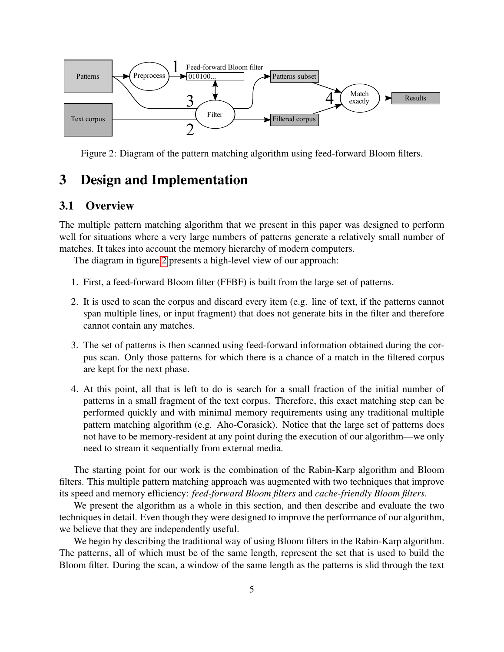

<span id="page-6-1"></span>Figure 2: Diagram of the pattern matching algorithm using feed-forward Bloom filters.

## <span id="page-6-0"></span>3 Design and Implementation

## 3.1 Overview

The multiple pattern matching algorithm that we present in this paper was designed to perform well for situations where a very large numbers of patterns generate a relatively small number of matches. It takes into account the memory hierarchy of modern computers.

The diagram in figure [2](#page-6-1) presents a high-level view of our approach:

- 1. First, a feed-forward Bloom filter (FFBF) is built from the large set of patterns.
- 2. It is used to scan the corpus and discard every item (e.g. line of text, if the patterns cannot span multiple lines, or input fragment) that does not generate hits in the filter and therefore cannot contain any matches.
- 3. The set of patterns is then scanned using feed-forward information obtained during the corpus scan. Only those patterns for which there is a chance of a match in the filtered corpus are kept for the next phase.
- 4. At this point, all that is left to do is search for a small fraction of the initial number of patterns in a small fragment of the text corpus. Therefore, this exact matching step can be performed quickly and with minimal memory requirements using any traditional multiple pattern matching algorithm (e.g. Aho-Corasick). Notice that the large set of patterns does not have to be memory-resident at any point during the execution of our algorithm—we only need to stream it sequentially from external media.

The starting point for our work is the combination of the Rabin-Karp algorithm and Bloom filters. This multiple pattern matching approach was augmented with two techniques that improve its speed and memory efficiency: *feed-forward Bloom filters* and *cache-friendly Bloom filters*.

We present the algorithm as a whole in this section, and then describe and evaluate the two techniques in detail. Even though they were designed to improve the performance of our algorithm, we believe that they are independently useful.

We begin by describing the traditional way of using Bloom filters in the Rabin-Karp algorithm. The patterns, all of which must be of the same length, represent the set that is used to build the Bloom filter. During the scan, a window of the same length as the patterns is slid through the text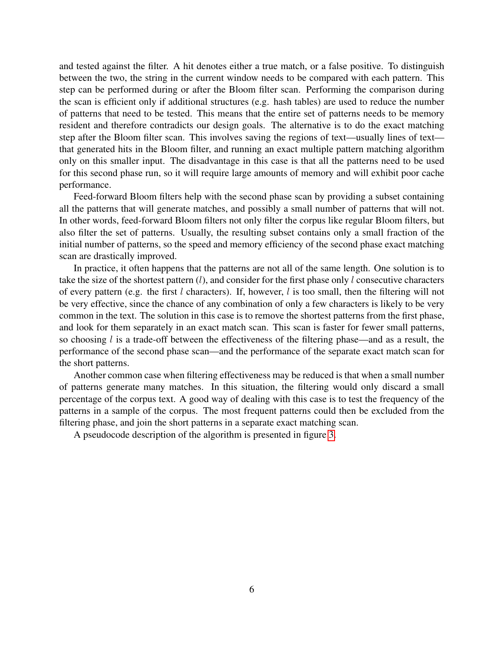and tested against the filter. A hit denotes either a true match, or a false positive. To distinguish between the two, the string in the current window needs to be compared with each pattern. This step can be performed during or after the Bloom filter scan. Performing the comparison during the scan is efficient only if additional structures (e.g. hash tables) are used to reduce the number of patterns that need to be tested. This means that the entire set of patterns needs to be memory resident and therefore contradicts our design goals. The alternative is to do the exact matching step after the Bloom filter scan. This involves saving the regions of text—usually lines of text that generated hits in the Bloom filter, and running an exact multiple pattern matching algorithm only on this smaller input. The disadvantage in this case is that all the patterns need to be used for this second phase run, so it will require large amounts of memory and will exhibit poor cache performance.

Feed-forward Bloom filters help with the second phase scan by providing a subset containing all the patterns that will generate matches, and possibly a small number of patterns that will not. In other words, feed-forward Bloom filters not only filter the corpus like regular Bloom filters, but also filter the set of patterns. Usually, the resulting subset contains only a small fraction of the initial number of patterns, so the speed and memory efficiency of the second phase exact matching scan are drastically improved.

In practice, it often happens that the patterns are not all of the same length. One solution is to take the size of the shortest pattern (*l*), and consider for the first phase only *l* consecutive characters of every pattern (e.g. the first *l* characters). If, however, *l* is too small, then the filtering will not be very effective, since the chance of any combination of only a few characters is likely to be very common in the text. The solution in this case is to remove the shortest patterns from the first phase, and look for them separately in an exact match scan. This scan is faster for fewer small patterns, so choosing *l* is a trade-off between the effectiveness of the filtering phase—and as a result, the performance of the second phase scan—and the performance of the separate exact match scan for the short patterns.

Another common case when filtering effectiveness may be reduced is that when a small number of patterns generate many matches. In this situation, the filtering would only discard a small percentage of the corpus text. A good way of dealing with this case is to test the frequency of the patterns in a sample of the corpus. The most frequent patterns could then be excluded from the filtering phase, and join the short patterns in a separate exact matching scan.

A pseudocode description of the algorithm is presented in figure [3.](#page-8-1)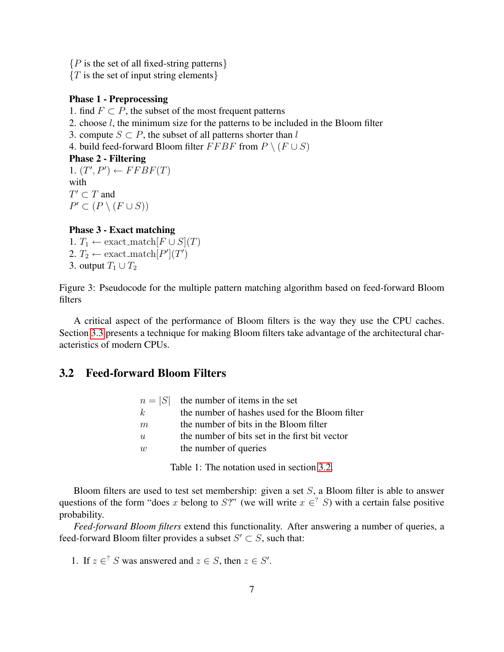{*P* is the set of all fixed-string patterns}

{*T* is the set of input string elements}

#### Phase 1 - Preprocessing

1. find  $F \subset P$ , the subset of the most frequent patterns

- 2. choose *l*, the minimum size for the patterns to be included in the Bloom filter
- 3. compute  $S \subset P$ , the subset of all patterns shorter than *l*
- 4. build feed-forward Bloom filter  $FFBF$  from  $P \setminus (F \cup S)$

#### Phase 2 - Filtering

 $1. (T', P') \leftarrow FFBF(T)$ with  $T' \subset T$  and *P*" ⊂  $(P \setminus (F \cup S))$ 

#### Phase 3 - Exact matching

1. *T*<sub>1</sub> ← exact\_match $[F \cup S](T)$ 2.  $T_2 \leftarrow$  exact\_match $[P'](T')$ 3. output  $T_1 \cup T_2$ 

<span id="page-8-1"></span>Figure 3: Pseudocode for the multiple pattern matching algorithm based on feed-forward Bloom filters

A critical aspect of the performance of Bloom filters is the way they use the CPU caches. Section [3.3](#page-13-0) presents a technique for making Bloom filters take advantage of the architectural characteristics of modern CPUs.

## <span id="page-8-0"></span>3.2 Feed-forward Bloom Filters

|        | $n =  S $ the number of items in the set       |
|--------|------------------------------------------------|
| k      | the number of hashes used for the Bloom filter |
| m      | the number of bits in the Bloom filter         |
| u      | the number of bits set in the first bit vector |
| $\eta$ | the number of queries                          |
|        |                                                |

<span id="page-8-2"></span>Table 1: The notation used in section [3.2.](#page-8-0)

Bloom filters are used to test set membership: given a set *S*, a Bloom filter is able to answer questions of the form "does *x* belong to *S*?" (we will write  $x \in \mathcal{S}$ ) with a certain false positive probability.

*Feed-forward Bloom filters* extend this functionality. After answering a number of queries, a feed-forward Bloom filter provides a subset  $S' \subset S$ , such that:

1. If  $z \in S$  was answered and  $z \in S$ , then  $z \in S'$ .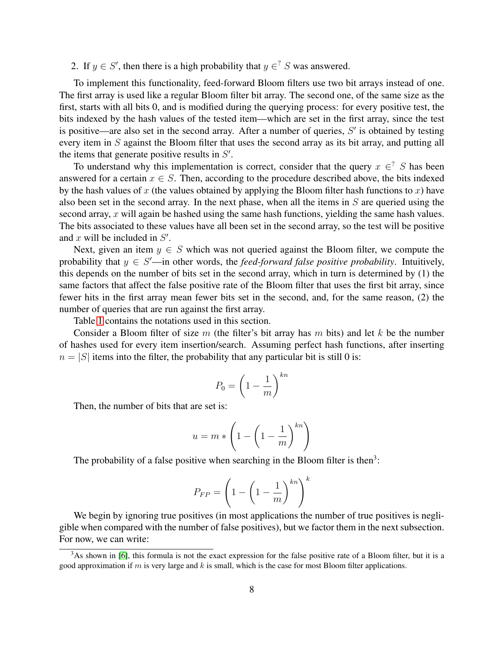2. If  $y \in S'$ , then there is a high probability that  $y \in S'$  was answered.

To implement this functionality, feed-forward Bloom filters use two bit arrays instead of one. The first array is used like a regular Bloom filter bit array. The second one, of the same size as the first, starts with all bits 0, and is modified during the querying process: for every positive test, the bits indexed by the hash values of the tested item—which are set in the first array, since the test is positive—are also set in the second array. After a number of queries, *S*" is obtained by testing every item in *S* against the Bloom filter that uses the second array as its bit array, and putting all the items that generate positive results in *S*" .

To understand why this implementation is correct, consider that the query  $x \in S$  has been answered for a certain  $x \in S$ . Then, according to the procedure described above, the bits indexed by the hash values of *x* (the values obtained by applying the Bloom filter hash functions to *x*) have also been set in the second array. In the next phase, when all the items in *S* are queried using the second array, *x* will again be hashed using the same hash functions, yielding the same hash values. The bits associated to these values have all been set in the second array, so the test will be positive and *x* will be included in *S*" .

Next, given an item  $y \in S$  which was not queried against the Bloom filter, we compute the probability that  $y \in S'$ —in other words, the *feed-forward false positive probability*. Intuitively, this depends on the number of bits set in the second array, which in turn is determined by (1) the same factors that affect the false positive rate of the Bloom filter that uses the first bit array, since fewer hits in the first array mean fewer bits set in the second, and, for the same reason, (2) the number of queries that are run against the first array.

Table [1](#page-8-2) contains the notations used in this section.

Consider a Bloom filter of size *m* (the filter's bit array has *m* bits) and let *k* be the number of hashes used for every item insertion/search. Assuming perfect hash functions, after inserting  $n = |S|$  items into the filter, the probability that any particular bit is still 0 is:

$$
P_0 = \left(1 - \frac{1}{m}\right)^{kn}
$$

Then, the number of bits that are set is:

$$
u = m * \left(1 - \left(1 - \frac{1}{m}\right)^{kn}\right)
$$

The probability of a false positive when searching in the Bloom filter is then<sup>3</sup>:

$$
P_{FP} = \left(1 - \left(1 - \frac{1}{m}\right)^{kn}\right)^k
$$

We begin by ignoring true positives (in most applications the number of true positives is negligible when compared with the number of false positives), but we factor them in the next subsection. For now, we can write:

 $3$ As shown in [\[6\]](#page-24-13), this formula is not the exact expression for the false positive rate of a Bloom filter, but it is a good approximation if *m* is very large and *k* is small, which is the case for most Bloom filter applications.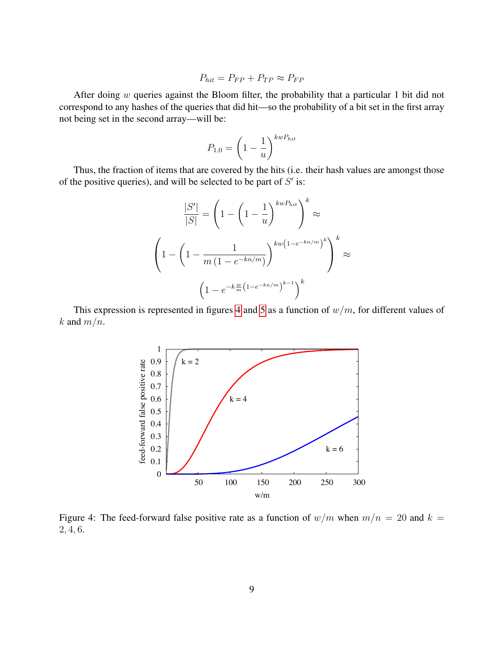$$
P_{hit} = P_{FP} + P_{TP} \approx P_{FP}
$$

After doing *w* queries against the Bloom filter, the probability that a particular 1 bit did not correspond to any hashes of the queries that did hit—so the probability of a bit set in the first array not being set in the second array—will be:

$$
P_{1,0} = \left(1 - \frac{1}{u}\right)^{kwP_{hit}}
$$

Thus, the fraction of items that are covered by the hits (i.e. their hash values are amongst those of the positive queries), and will be selected to be part of *S*" is:

$$
\frac{|S'|}{|S|} = \left(1 - \left(1 - \frac{1}{u}\right)^{kwP_{hit}}\right)^k \approx
$$
\n
$$
\left(1 - \left(1 - \frac{1}{m\left(1 - e^{-kn/m}\right)}\right)^{kw\left(1 - e^{-kn/m}\right)^k}\right)^k \approx
$$
\n
$$
\left(1 - e^{-k\frac{w}{m}\left(1 - e^{-kn/m}\right)^{k-1}}\right)^k
$$

This expression is represented in figures [4](#page-10-0) and [5](#page-11-0) as a function of *w/m*, for different values of *k* and  $m/n$ .



<span id="page-10-0"></span>Figure 4: The feed-forward false positive rate as a function of  $w/m$  when  $m/n = 20$  and  $k =$ 2*,* 4*,* 6.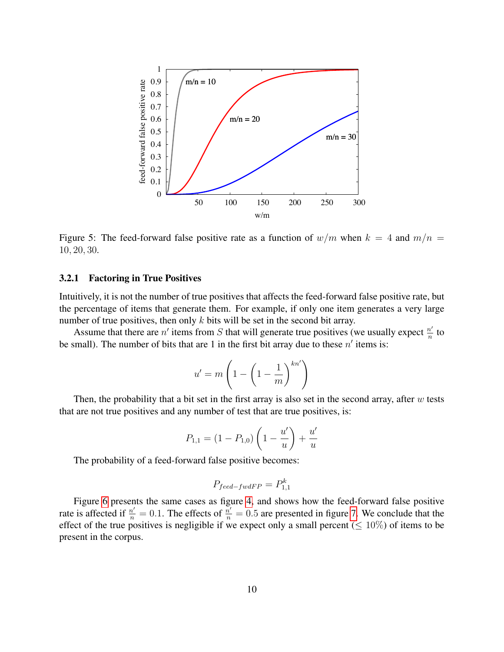

<span id="page-11-0"></span>Figure 5: The feed-forward false positive rate as a function of  $w/m$  when  $k = 4$  and  $m/n =$ 10*,* 20*,* 30.

#### 3.2.1 Factoring in True Positives

Intuitively, it is not the number of true positives that affects the feed-forward false positive rate, but the percentage of items that generate them. For example, if only one item generates a very large number of true positives, then only *k* bits will be set in the second bit array.

Assume that there are  $n'$  items from *S* that will generate true positives (we usually expect  $\frac{n'}{n}$  to be small). The number of bits that are 1 in the first bit array due to these  $n'$  items is:

$$
u' = m \left( 1 - \left( 1 - \frac{1}{m} \right)^{kn'} \right)
$$

Then, the probability that a bit set in the first array is also set in the second array, after *w* tests that are not true positives and any number of test that are true positives, is:

$$
P_{1,1} = (1 - P_{1,0}) \left( 1 - \frac{u'}{u} \right) + \frac{u'}{u}
$$

The probability of a feed-forward false positive becomes:

$$
P_{feed - fwdFP} = P_{1,1}^k
$$

Figure [6](#page-12-0) presents the same cases as figure [4,](#page-10-0) and shows how the feed-forward false positive rate is affected if  $\frac{n'}{n} = 0.1$ . The effects of  $\frac{n'}{n} = 0.5$  are presented in figure [7.](#page-12-1) We conclude that the effect of the true positives is negligible if we expect only a small percent ( $\leq 10\%$ ) of items to be present in the corpus.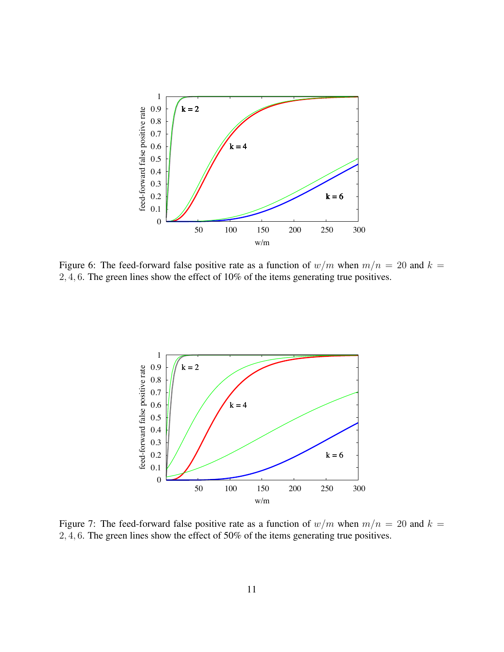

<span id="page-12-0"></span>Figure 6: The feed-forward false positive rate as a function of  $w/m$  when  $m/n = 20$  and  $k =$ 2*,* 4*,* 6. The green lines show the effect of 10% of the items generating true positives.



<span id="page-12-1"></span>Figure 7: The feed-forward false positive rate as a function of  $w/m$  when  $m/n = 20$  and  $k =$ 2*,* 4*,* 6. The green lines show the effect of 50% of the items generating true positives.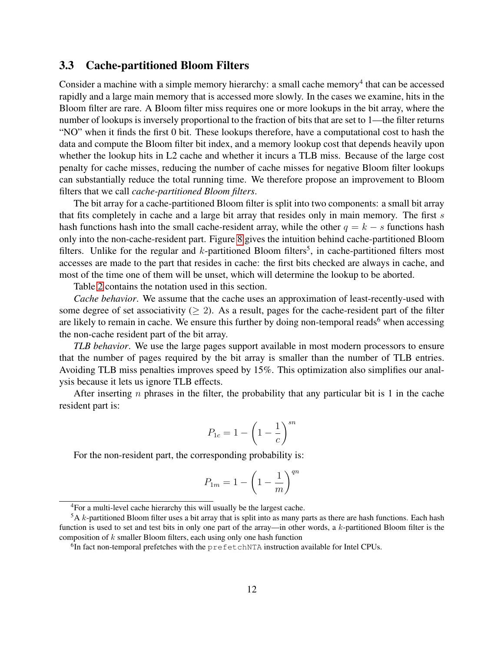### <span id="page-13-0"></span>3.3 Cache-partitioned Bloom Filters

Consider a machine with a simple memory hierarchy: a small cache memory<sup>4</sup> that can be accessed rapidly and a large main memory that is accessed more slowly. In the cases we examine, hits in the Bloom filter are rare. A Bloom filter miss requires one or more lookups in the bit array, where the number of lookups is inversely proportional to the fraction of bits that are set to 1—the filter returns "NO" when it finds the first 0 bit. These lookups therefore, have a computational cost to hash the data and compute the Bloom filter bit index, and a memory lookup cost that depends heavily upon whether the lookup hits in L2 cache and whether it incurs a TLB miss. Because of the large cost penalty for cache misses, reducing the number of cache misses for negative Bloom filter lookups can substantially reduce the total running time. We therefore propose an improvement to Bloom filters that we call *cache-partitioned Bloom filters*.

The bit array for a cache-partitioned Bloom filter is split into two components: a small bit array that fits completely in cache and a large bit array that resides only in main memory. The first *s* hash functions hash into the small cache-resident array, while the other  $q = k - s$  functions hash only into the non-cache-resident part. Figure [8](#page-14-0) gives the intuition behind cache-partitioned Bloom filters. Unlike for the regular and  $k$ -partitioned Bloom filters<sup>5</sup>, in cache-partitioned filters most accesses are made to the part that resides in cache: the first bits checked are always in cache, and most of the time one of them will be unset, which will determine the lookup to be aborted.

Table [2](#page-14-1) contains the notation used in this section.

*Cache behavior*. We assume that the cache uses an approximation of least-recently-used with some degree of set associativity ( $\geq$  2). As a result, pages for the cache-resident part of the filter are likely to remain in cache. We ensure this further by doing non-temporal reads<sup>6</sup> when accessing the non-cache resident part of the bit array.

*TLB behavior*. We use the large pages support available in most modern processors to ensure that the number of pages required by the bit array is smaller than the number of TLB entries. Avoiding TLB miss penalties improves speed by 15%. This optimization also simplifies our analysis because it lets us ignore TLB effects.

After inserting *n* phrases in the filter, the probability that any particular bit is 1 in the cache resident part is:

$$
P_{1c} = 1 - \left(1 - \frac{1}{c}\right)^{sn}
$$

For the non-resident part, the corresponding probability is:

$$
P_{1m} = 1 - \left(1 - \frac{1}{m}\right)^{qn}
$$

<sup>4</sup>For a multi-level cache hierarchy this will usually be the largest cache.

<sup>5</sup>A *k*-partitioned Bloom filter uses a bit array that is split into as many parts as there are hash functions. Each hash function is used to set and test bits in only one part of the array—in other words, a *k*-partitioned Bloom filter is the composition of *k* smaller Bloom filters, each using only one hash function

<sup>6</sup>In fact non-temporal prefetches with the prefetchNTA instruction available for Intel CPUs.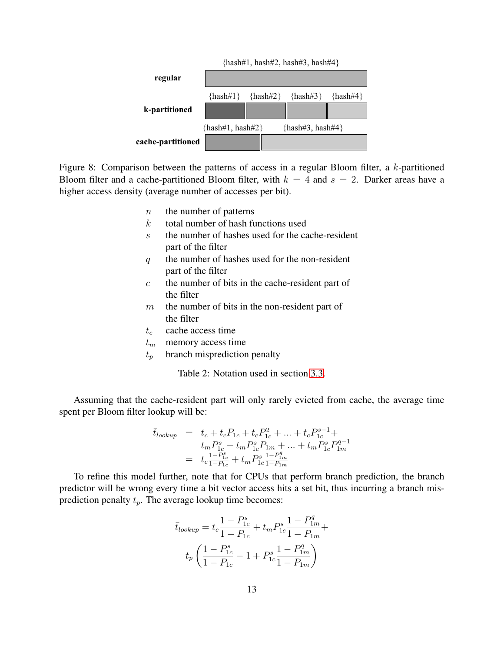

<span id="page-14-0"></span>Figure 8: Comparison between the patterns of access in a regular Bloom filter, a *k*-partitioned Bloom filter and a cache-partitioned Bloom filter, with  $k = 4$  and  $s = 2$ . Darker areas have a higher access density (average number of accesses per bit).

- *n* the number of patterns
- *k* total number of hash functions used
- *s* the number of hashes used for the cache-resident part of the filter
- *q* the number of hashes used for the non-resident part of the filter
- *c* the number of bits in the cache-resident part of the filter
- *m* the number of bits in the non-resident part of the filter
- *t<sup>c</sup>* cache access time
- *t<sup>m</sup>* memory access time
- *t<sup>p</sup>* branch misprediction penalty

<span id="page-14-1"></span>Table 2: Notation used in section [3.3.](#page-13-0)

Assuming that the cache-resident part will only rarely evicted from cache, the average time spent per Bloom filter lookup will be:

$$
\bar{t}_{lookup} = t_c + t_c P_{1c} + t_c P_{1c}^2 + \dots + t_c P_{1c}^{s-1} + \n t_m P_{1c}^s + t_m P_{1c}^s P_{1m} + \dots + t_m P_{1c}^s P_{1m}^{q-1} \n = t_c \frac{1 - P_{1c}^s}{1 - P_{1c}} + t_m P_{1c}^s \frac{1 - P_{1m}^q}{1 - P_{1m}}
$$

To refine this model further, note that for CPUs that perform branch prediction, the branch predictor will be wrong every time a bit vector access hits a set bit, thus incurring a branch misprediction penalty *tp*. The average lookup time becomes:

$$
\bar{t}_{lookup} = t_c \frac{1 - P_{1c}^s}{1 - P_{1c}} + t_m P_{1c}^s \frac{1 - P_{1m}^q}{1 - P_{1m}} +
$$

$$
t_p \left( \frac{1 - P_{1c}^s}{1 - P_{1c}} - 1 + P_{1c}^s \frac{1 - P_{1m}^q}{1 - P_{1m}} \right)
$$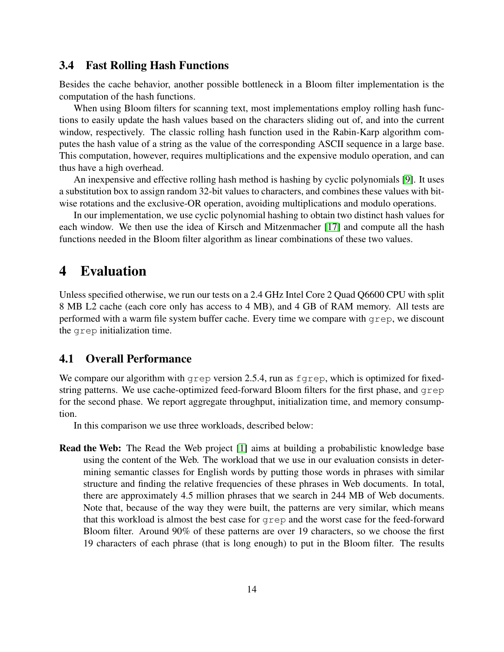### <span id="page-15-1"></span>3.4 Fast Rolling Hash Functions

Besides the cache behavior, another possible bottleneck in a Bloom filter implementation is the computation of the hash functions.

When using Bloom filters for scanning text, most implementations employ rolling hash functions to easily update the hash values based on the characters sliding out of, and into the current window, respectively. The classic rolling hash function used in the Rabin-Karp algorithm computes the hash value of a string as the value of the corresponding ASCII sequence in a large base. This computation, however, requires multiplications and the expensive modulo operation, and can thus have a high overhead.

An inexpensive and effective rolling hash method is hashing by cyclic polynomials [\[9\]](#page-24-14). It uses a substitution box to assign random 32-bit values to characters, and combines these values with bitwise rotations and the exclusive-OR operation, avoiding multiplications and modulo operations.

In our implementation, we use cyclic polynomial hashing to obtain two distinct hash values for each window. We then use the idea of Kirsch and Mitzenmacher [\[17\]](#page-24-7) and compute all the hash functions needed in the Bloom filter algorithm as linear combinations of these two values.

## <span id="page-15-0"></span>4 Evaluation

Unless specified otherwise, we run our tests on a 2.4 GHz Intel Core 2 Quad Q6600 CPU with split 8 MB L2 cache (each core only has access to 4 MB), and 4 GB of RAM memory. All tests are performed with a warm file system buffer cache. Every time we compare with grep, we discount the grep initialization time.

### <span id="page-15-2"></span>4.1 Overall Performance

We compare our algorithm with grep version 2.5.4, run as  $f$ grep, which is optimized for fixedstring patterns. We use cache-optimized feed-forward Bloom filters for the first phase, and  $q_{\text{rep}}$ for the second phase. We report aggregate throughput, initialization time, and memory consumption.

In this comparison we use three workloads, described below:

Read the Web: The Read the Web project [\[1\]](#page-23-0) aims at building a probabilistic knowledge base using the content of the Web. The workload that we use in our evaluation consists in determining semantic classes for English words by putting those words in phrases with similar structure and finding the relative frequencies of these phrases in Web documents. In total, there are approximately 4.5 million phrases that we search in 244 MB of Web documents. Note that, because of the way they were built, the patterns are very similar, which means that this workload is almost the best case for grep and the worst case for the feed-forward Bloom filter. Around 90% of these patterns are over 19 characters, so we choose the first 19 characters of each phrase (that is long enough) to put in the Bloom filter. The results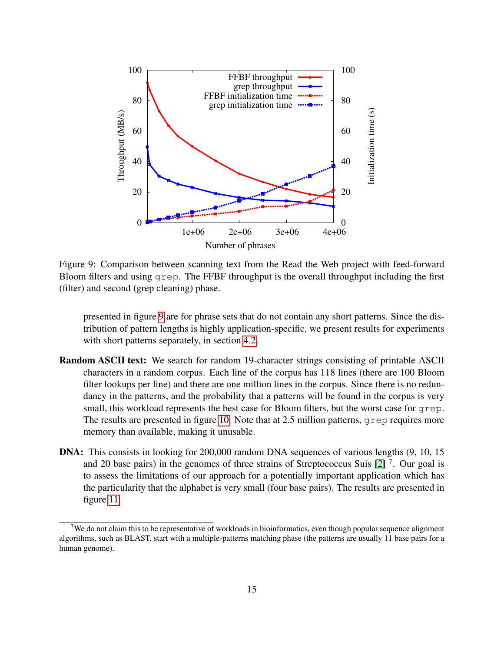

<span id="page-16-0"></span>Figure 9: Comparison between scanning text from the Read the Web project with feed-forward Bloom filters and using grep. The FFBF throughput is the overall throughput including the first (filter) and second (grep cleaning) phase.

presented in figure [9](#page-16-0) are for phrase sets that do not contain any short patterns. Since the distribution of pattern lengths is highly application-specific, we present results for experiments with short patterns separately, in section [4.2.](#page-19-0)

- Random ASCII text: We search for random 19-character strings consisting of printable ASCII characters in a random corpus. Each line of the corpus has 118 lines (there are 100 Bloom filter lookups per line) and there are one million lines in the corpus. Since there is no redundancy in the patterns, and the probability that a patterns will be found in the corpus is very small, this workload represents the best case for Bloom filters, but the worst case for grep. The results are presented in figure [10.](#page-17-0) Note that at 2.5 million patterns, grep requires more memory than available, making it unusable.
- DNA: This consists in looking for 200,000 random DNA sequences of various lengths (9, 10, 15 and 20 base pairs) in the genomes of three strains of Streptococcus Suis  $[2]$ <sup>7</sup>. Our goal is to assess the limitations of our approach for a potentially important application which has the particularity that the alphabet is very small (four base pairs). The results are presented in figure [11.](#page-17-1)

<sup>&</sup>lt;sup>7</sup>We do not claim this to be representative of workloads in bioinformatics, even though popular sequence alignment algorithms, such as BLAST, start with a multiple-patterns matching phase (the patterns are usually 11 base pairs for a human genome).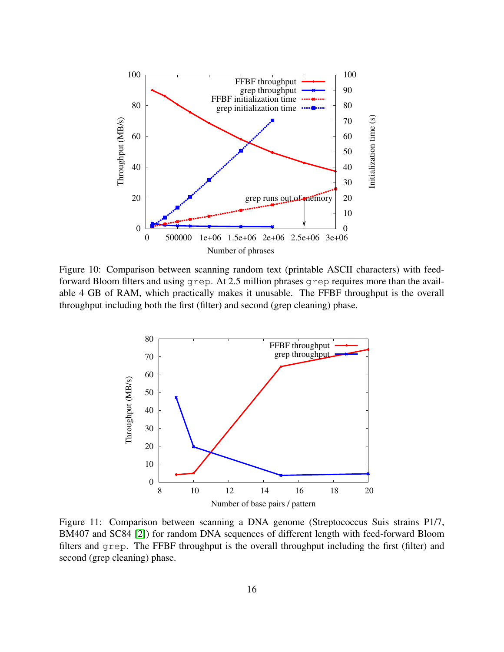

<span id="page-17-0"></span>Figure 10: Comparison between scanning random text (printable ASCII characters) with feedforward Bloom filters and using grep. At 2.5 million phrases grep requires more than the available 4 GB of RAM, which practically makes it unusable. The FFBF throughput is the overall throughput including both the first (filter) and second (grep cleaning) phase.



<span id="page-17-1"></span>Figure 11: Comparison between scanning a DNA genome (Streptococcus Suis strains P1/7, BM407 and SC84 [\[2\]](#page-23-4)) for random DNA sequences of different length with feed-forward Bloom filters and grep. The FFBF throughput is the overall throughput including the first (filter) and second (grep cleaning) phase.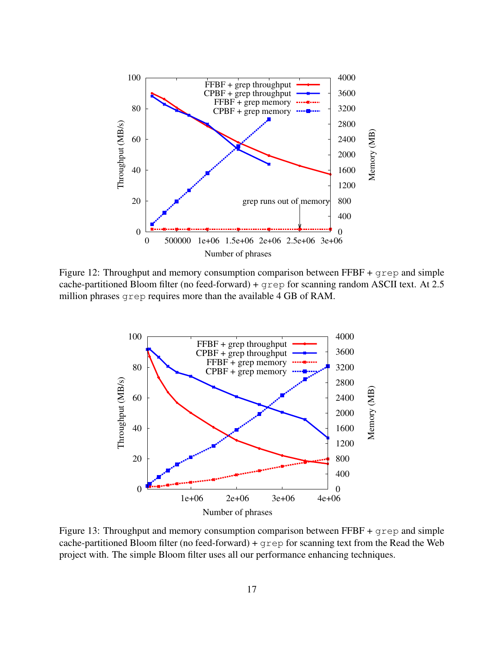

<span id="page-18-0"></span>Figure 12: Throughput and memory consumption comparison between FFBF + grep and simple cache-partitioned Bloom filter (no feed-forward) + grep for scanning random ASCII text. At 2.5 million phrases grep requires more than the available 4 GB of RAM.



<span id="page-18-1"></span>Figure 13: Throughput and memory consumption comparison between  $\text{FFBF} + \text{green}$  and simple cache-partitioned Bloom filter (no feed-forward) +  $q$ rep for scanning text from the Read the Web project with. The simple Bloom filter uses all our performance enhancing techniques.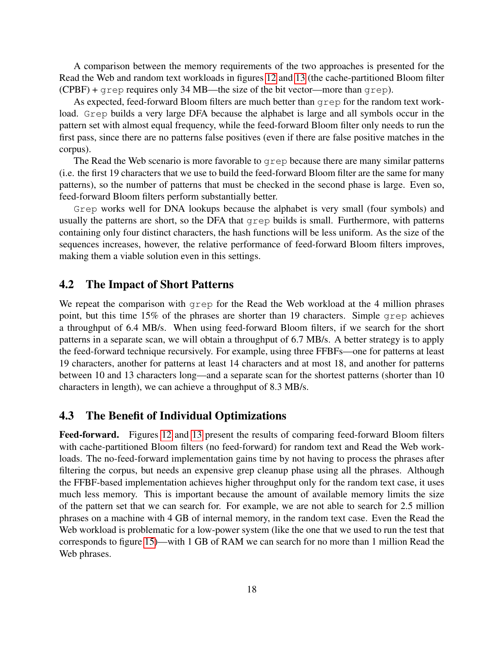A comparison between the memory requirements of the two approaches is presented for the Read the Web and random text workloads in figures [12](#page-18-0) and [13](#page-18-1) (the cache-partitioned Bloom filter (CPBF) + grep requires only 34 MB—the size of the bit vector—more than grep).

As expected, feed-forward Bloom filters are much better than grep for the random text workload. Grep builds a very large DFA because the alphabet is large and all symbols occur in the pattern set with almost equal frequency, while the feed-forward Bloom filter only needs to run the first pass, since there are no patterns false positives (even if there are false positive matches in the corpus).

The Read the Web scenario is more favorable to grep because there are many similar patterns (i.e. the first 19 characters that we use to build the feed-forward Bloom filter are the same for many patterns), so the number of patterns that must be checked in the second phase is large. Even so, feed-forward Bloom filters perform substantially better.

Grep works well for DNA lookups because the alphabet is very small (four symbols) and usually the patterns are short, so the DFA that  $q_{\text{rep}}$  builds is small. Furthermore, with patterns containing only four distinct characters, the hash functions will be less uniform. As the size of the sequences increases, however, the relative performance of feed-forward Bloom filters improves, making them a viable solution even in this settings.

### <span id="page-19-0"></span>4.2 The Impact of Short Patterns

We repeat the comparison with  $q_{\text{rep}}$  for the Read the Web workload at the 4 million phrases point, but this time 15% of the phrases are shorter than 19 characters. Simple grep achieves a throughput of 6.4 MB/s. When using feed-forward Bloom filters, if we search for the short patterns in a separate scan, we will obtain a throughput of 6.7 MB/s. A better strategy is to apply the feed-forward technique recursively. For example, using three FFBFs—one for patterns at least 19 characters, another for patterns at least 14 characters and at most 18, and another for patterns between 10 and 13 characters long—and a separate scan for the shortest patterns (shorter than 10 characters in length), we can achieve a throughput of 8.3 MB/s.

## 4.3 The Benefit of Individual Optimizations

Feed-forward. Figures [12](#page-18-0) and [13](#page-18-1) present the results of comparing feed-forward Bloom filters with cache-partitioned Bloom filters (no feed-forward) for random text and Read the Web workloads. The no-feed-forward implementation gains time by not having to process the phrases after filtering the corpus, but needs an expensive grep cleanup phase using all the phrases. Although the FFBF-based implementation achieves higher throughput only for the random text case, it uses much less memory. This is important because the amount of available memory limits the size of the pattern set that we can search for. For example, we are not able to search for 2.5 million phrases on a machine with 4 GB of internal memory, in the random text case. Even the Read the Web workload is problematic for a low-power system (like the one that we used to run the test that corresponds to figure [15\)](#page-21-0)—with 1 GB of RAM we can search for no more than 1 million Read the Web phrases.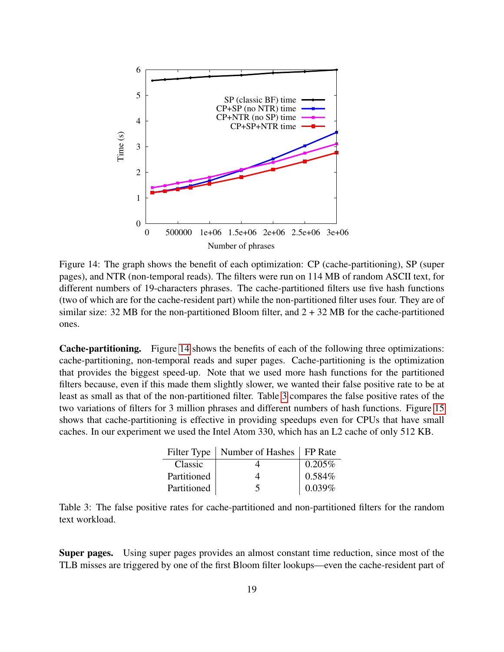

<span id="page-20-0"></span>Figure 14: The graph shows the benefit of each optimization: CP (cache-partitioning), SP (super pages), and NTR (non-temporal reads). The filters were run on 114 MB of random ASCII text, for different numbers of 19-characters phrases. The cache-partitioned filters use five hash functions (two of which are for the cache-resident part) while the non-partitioned filter uses four. They are of similar size: 32 MB for the non-partitioned Bloom filter, and  $2 + 32$  MB for the cache-partitioned ones.

Cache-partitioning. Figure [14](#page-20-0) shows the benefits of each of the following three optimizations: cache-partitioning, non-temporal reads and super pages. Cache-partitioning is the optimization that provides the biggest speed-up. Note that we used more hash functions for the partitioned filters because, even if this made them slightly slower, we wanted their false positive rate to be at least as small as that of the non-partitioned filter. Table [3](#page-20-1) compares the false positive rates of the two variations of filters for 3 million phrases and different numbers of hash functions. Figure [15](#page-21-0) shows that cache-partitioning is effective in providing speedups even for CPUs that have small caches. In our experiment we used the Intel Atom 330, which has an L2 cache of only 512 KB.

|             | Filter Type   Number of Hashes   FP Rate |        |
|-------------|------------------------------------------|--------|
| Classic     |                                          | 0.205% |
| Partitioned |                                          | 0.584% |
| Partitioned | ╮                                        | 0.039% |

<span id="page-20-1"></span>Table 3: The false positive rates for cache-partitioned and non-partitioned filters for the random text workload.

Super pages. Using super pages provides an almost constant time reduction, since most of the TLB misses are triggered by one of the first Bloom filter lookups—even the cache-resident part of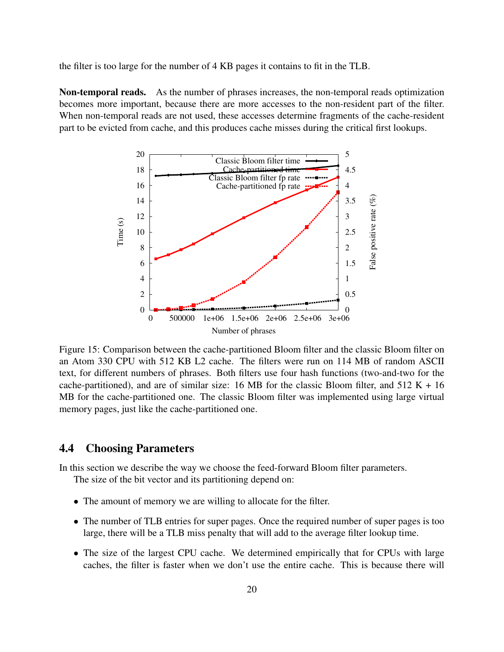the filter is too large for the number of 4 KB pages it contains to fit in the TLB.

Non-temporal reads. As the number of phrases increases, the non-temporal reads optimization becomes more important, because there are more accesses to the non-resident part of the filter. When non-temporal reads are not used, these accesses determine fragments of the cache-resident part to be evicted from cache, and this produces cache misses during the critical first lookups.



<span id="page-21-0"></span>Figure 15: Comparison between the cache-partitioned Bloom filter and the classic Bloom filter on an Atom 330 CPU with 512 KB L2 cache. The filters were run on 114 MB of random ASCII text, for different numbers of phrases. Both filters use four hash functions (two-and-two for the cache-partitioned), and are of similar size: 16 MB for the classic Bloom filter, and  $512 K + 16$ MB for the cache-partitioned one. The classic Bloom filter was implemented using large virtual memory pages, just like the cache-partitioned one.

### 4.4 Choosing Parameters

In this section we describe the way we choose the feed-forward Bloom filter parameters.

The size of the bit vector and its partitioning depend on:

- The amount of memory we are willing to allocate for the filter.
- The number of TLB entries for super pages. Once the required number of super pages is too large, there will be a TLB miss penalty that will add to the average filter lookup time.
- The size of the largest CPU cache. We determined empirically that for CPUs with large caches, the filter is faster when we don't use the entire cache. This is because there will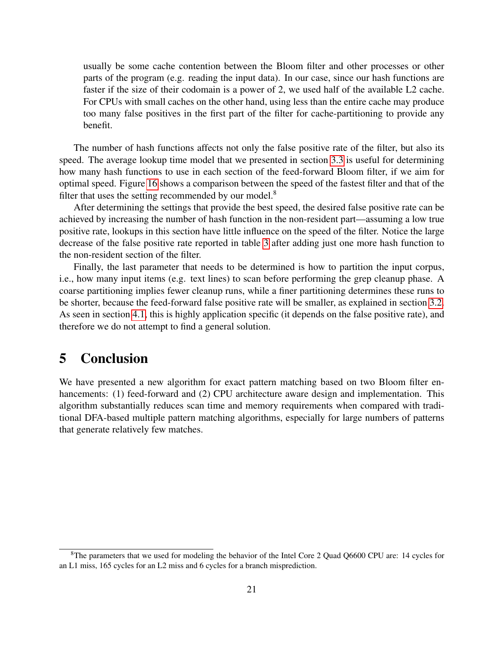usually be some cache contention between the Bloom filter and other processes or other parts of the program (e.g. reading the input data). In our case, since our hash functions are faster if the size of their codomain is a power of 2, we used half of the available L2 cache. For CPUs with small caches on the other hand, using less than the entire cache may produce too many false positives in the first part of the filter for cache-partitioning to provide any benefit.

The number of hash functions affects not only the false positive rate of the filter, but also its speed. The average lookup time model that we presented in section [3.3](#page-13-0) is useful for determining how many hash functions to use in each section of the feed-forward Bloom filter, if we aim for optimal speed. Figure [16](#page-23-5) shows a comparison between the speed of the fastest filter and that of the filter that uses the setting recommended by our model. $8$ 

After determining the settings that provide the best speed, the desired false positive rate can be achieved by increasing the number of hash function in the non-resident part—assuming a low true positive rate, lookups in this section have little influence on the speed of the filter. Notice the large decrease of the false positive rate reported in table [3](#page-20-1) after adding just one more hash function to the non-resident section of the filter.

Finally, the last parameter that needs to be determined is how to partition the input corpus, i.e., how many input items (e.g. text lines) to scan before performing the grep cleanup phase. A coarse partitioning implies fewer cleanup runs, while a finer partitioning determines these runs to be shorter, because the feed-forward false positive rate will be smaller, as explained in section [3.2.](#page-8-0) As seen in section [4.1,](#page-15-2) this is highly application specific (it depends on the false positive rate), and therefore we do not attempt to find a general solution.

## 5 Conclusion

We have presented a new algorithm for exact pattern matching based on two Bloom filter enhancements: (1) feed-forward and (2) CPU architecture aware design and implementation. This algorithm substantially reduces scan time and memory requirements when compared with traditional DFA-based multiple pattern matching algorithms, especially for large numbers of patterns that generate relatively few matches.

<sup>&</sup>lt;sup>8</sup>The parameters that we used for modeling the behavior of the Intel Core 2 Quad Q6600 CPU are: 14 cycles for an L1 miss, 165 cycles for an L2 miss and 6 cycles for a branch misprediction.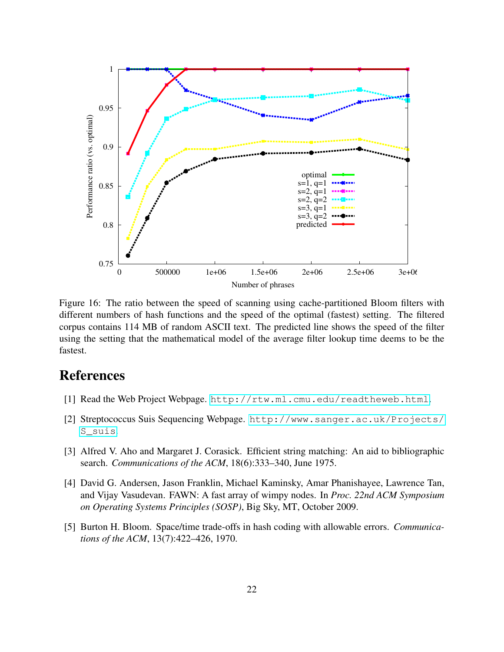

<span id="page-23-5"></span>Figure 16: The ratio between the speed of scanning using cache-partitioned Bloom filters with different numbers of hash functions and the speed of the optimal (fastest) setting. The filtered corpus contains 114 MB of random ASCII text. The predicted line shows the speed of the filter using the setting that the mathematical model of the average filter lookup time deems to be the fastest.

# References

- <span id="page-23-0"></span>[1] Read the Web Project Webpage. <http://rtw.ml.cmu.edu/readtheweb.html>.
- <span id="page-23-4"></span>[2] Streptococcus Suis Sequencing Webpage. [http://www.sanger.ac.uk/Projects/](http://www.sanger.ac.uk/Projects/S_suis) [S\\_suis](http://www.sanger.ac.uk/Projects/S_suis).
- <span id="page-23-1"></span>[3] Alfred V. Aho and Margaret J. Corasick. Efficient string matching: An aid to bibliographic search. *Communications of the ACM*, 18(6):333–340, June 1975.
- <span id="page-23-2"></span>[4] David G. Andersen, Jason Franklin, Michael Kaminsky, Amar Phanishayee, Lawrence Tan, and Vijay Vasudevan. FAWN: A fast array of wimpy nodes. In *Proc. 22nd ACM Symposium on Operating Systems Principles (SOSP)*, Big Sky, MT, October 2009.
- <span id="page-23-3"></span>[5] Burton H. Bloom. Space/time trade-offs in hash coding with allowable errors. *Communications of the ACM*, 13(7):422–426, 1970.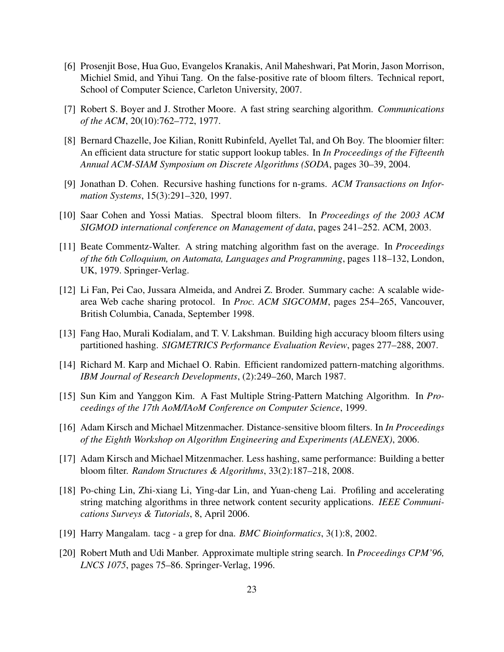- <span id="page-24-13"></span>[6] Prosenjit Bose, Hua Guo, Evangelos Kranakis, Anil Maheshwari, Pat Morin, Jason Morrison, Michiel Smid, and Yihui Tang. On the false-positive rate of bloom filters. Technical report, School of Computer Science, Carleton University, 2007.
- <span id="page-24-3"></span>[7] Robert S. Boyer and J. Strother Moore. A fast string searching algorithm. *Communications of the ACM*, 20(10):762–772, 1977.
- <span id="page-24-10"></span>[8] Bernard Chazelle, Joe Kilian, Ronitt Rubinfeld, Ayellet Tal, and Oh Boy. The bloomier filter: An efficient data structure for static support lookup tables. In *In Proceedings of the Fifteenth Annual ACM-SIAM Symposium on Discrete Algorithms (SODA*, pages 30–39, 2004.
- <span id="page-24-14"></span>[9] Jonathan D. Cohen. Recursive hashing functions for n-grams. *ACM Transactions on Information Systems*, 15(3):291–320, 1997.
- <span id="page-24-12"></span>[10] Saar Cohen and Yossi Matias. Spectral bloom filters. In *Proceedings of the 2003 ACM SIGMOD international conference on Management of data*, pages 241–252. ACM, 2003.
- <span id="page-24-2"></span>[11] Beate Commentz-Walter. A string matching algorithm fast on the average. In *Proceedings of the 6th Colloquium, on Automata, Languages and Programming*, pages 118–132, London, UK, 1979. Springer-Verlag.
- <span id="page-24-9"></span>[12] Li Fan, Pei Cao, Jussara Almeida, and Andrei Z. Broder. Summary cache: A scalable widearea Web cache sharing protocol. In *Proc. ACM SIGCOMM*, pages 254–265, Vancouver, British Columbia, Canada, September 1998.
- <span id="page-24-8"></span>[13] Fang Hao, Murali Kodialam, and T. V. Lakshman. Building high accuracy bloom filters using partitioned hashing. *SIGMETRICS Performance Evaluation Review*, pages 277–288, 2007.
- <span id="page-24-5"></span>[14] Richard M. Karp and Michael O. Rabin. Efficient randomized pattern-matching algorithms. *IBM Journal of Research Developments*, (2):249–260, March 1987.
- <span id="page-24-4"></span>[15] Sun Kim and Yanggon Kim. A Fast Multiple String-Pattern Matching Algorithm. In *Proceedings of the 17th AoM/IAoM Conference on Computer Science*, 1999.
- <span id="page-24-11"></span>[16] Adam Kirsch and Michael Mitzenmacher. Distance-sensitive bloom filters. In *In Proceedings of the Eighth Workshop on Algorithm Engineering and Experiments (ALENEX)*, 2006.
- <span id="page-24-7"></span>[17] Adam Kirsch and Michael Mitzenmacher. Less hashing, same performance: Building a better bloom filter. *Random Structures & Algorithms*, 33(2):187–218, 2008.
- <span id="page-24-0"></span>[18] Po-ching Lin, Zhi-xiang Li, Ying-dar Lin, and Yuan-cheng Lai. Profiling and accelerating string matching algorithms in three network content security applications. *IEEE Communications Surveys & Tutorials*, 8, April 2006.
- <span id="page-24-1"></span>[19] Harry Mangalam. tacg - a grep for dna. *BMC Bioinformatics*, 3(1):8, 2002.
- <span id="page-24-6"></span>[20] Robert Muth and Udi Manber. Approximate multiple string search. In *Proceedings CPM'96, LNCS 1075*, pages 75–86. Springer-Verlag, 1996.